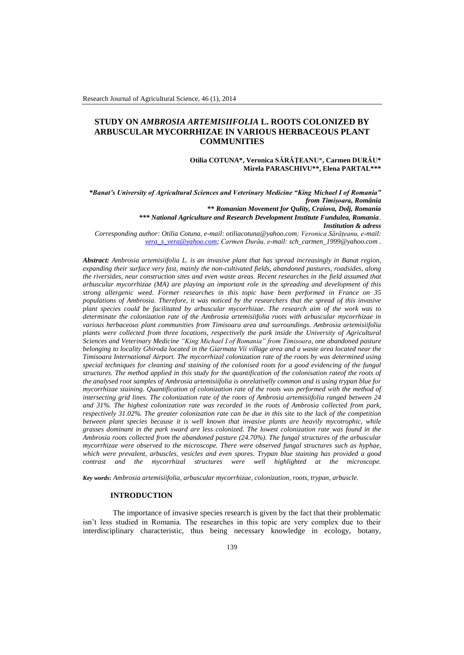# **STUDY ON** *AMBROSIA ARTEMISIIFOLIA* **L. ROOTS COLONIZED BY ARBUSCULAR MYCORRHIZAE IN VARIOUS HERBACEOUS PLANT COMMUNITIES**

**Otilia COTUNA\*, Veronica SĂRĂŢEANU\*, Carmen DURĂU\* Mirela PARASCHIVU\*\*, Elena PARTAL\*\*\***

*\*Banat's University of Agricultural Sciences and Veterinary Medicine "King Michael I of Romania" from Timișoara, România \*\* Romanian Movement for Qulity, Craiova, Dolj, Romania \*\*\* National Agriculture and Research Development Institute Fundulea, Romania*. *Institution & adress Corresponding author: Otilia Cotuna, e-mail[: otiliacotuna@yahoo.com;](mailto:otiliacotuna@yahoo.com) Veronica Sărățeanu, e-mail: [vera\\_s\\_vera@yahoo.com;](mailto:vera_s_vera@yahoo.com) Carmen Durău, e-mail: sch\_carmen\_1999@yahoo.com .*

*Abstract: Ambrosia artemisiifolia L. is an invasive plant that has spread increasingly in Banat region, expanding their surface very fast, mainly the non-cultivated fields, abandoned pastures, roadsides, along the riversides, near construction sites and even waste areas. Recent researches in the field assumed that arbuscular mycorrhizae (MA) are playing an important role in the spreading and development of this strong allergenic weed. Former researches in this topic have been performed in France on 35 populations of Ambrosia. Therefore, it was noticed by the researchers that the spread of this invasive plant species could be facilitated by arbuscular mycorrhizae. The research aim of the work was to determinate the colonization rate of the Ambrosia artemisiifolia roots with arbuscular mycorrhizae in various herbaceous plant communities from Timisoara area and surroundings. Ambrosia artemisiifolia plants were collected from three locations, respectively the park inside the University of Agricultural Sciences and Veterinary Medicine "King Michael I of Romania" from Timisoara, one abandoned pasture belonging to locality Ghiroda located in the Giarmata Vii village area and a waste area located near the Timisoara International Airport. The mycorrhizal colonization rate of the roots by was determined using special techniques for cleaning and staining of the colonised roots for a good evidencing of the fungal structures. The method applied in this study for the quantification of the colonisation rateof the roots of the analysed root samples of Ambrosia artemisiifolia is onrelativelly common and is using trypan blue for mycorrhizae staining. Quantification of colonization rate of the roots was performed with the method of intersecting grid lines. The colonization rate of the roots of Ambrosia artemisiifolia ranged between 24 and 31%. The highest colonization rate was recorded in the roots of Ambrosia collected from park, respectively 31.02%. The greater colonization rate can be due in this site to the lack of the competition between plant species because it is well known that invasive plants are heavily mycotrophic, while grasses dominant in the park sward are less colonized. The lowest colonization rate was found in the Ambrosia roots collected from the abandoned pasture (24.70%). The fungal structures of the arbuscular mycorrhizae were observed to the microscope. There were observed fungal structures such as hyphae, which were prevalent, arbuscles, vesicles and even spores. Trypan blue staining has provided a good contrast and the mycorrhizal structures were well highlighted at the microscope.*

*Key words***:** *Ambrosia artemisiifolia, arbuscular mycorrhizae, colonization, roots, trypan, arbuscle.*

### **INTRODUCTION**

The importance of invasive species research is given by the fact that their problematic isn't less studied in Romania. The researches in this topic are very complex due to their interdisciplinary characteristic, thus being necessary knowledge in ecology, botany,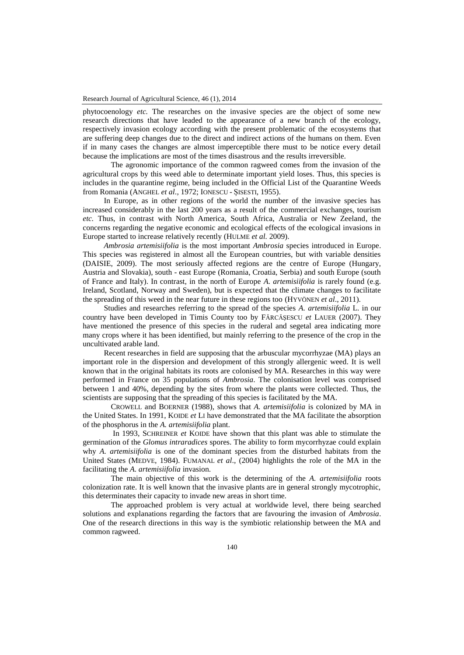phytocoenology *etc.* The researches on the invasive species are the object of some new research directions that have leaded to the appearance of a new branch of the ecology, respectively invasion ecology according with the present problematic of the ecosystems that are suffering deep changes due to the direct and indirect actions of the humans on them. Even if in many cases the changes are almost imperceptible there must to be notice every detail because the implications are most of the times disastrous and the results irreversible.

The agronomic importance of the common ragweed comes from the invasion of the agricultural crops by this weed able to determinate important yield loses. Thus, this species is includes in the quarantine regime, being included in the Official List of the Quarantine Weeds from Romania (ANGHEL *et al*., 1972; IONESCU - ȘISESTI, 1955).

In Europe, as in other regions of the world the number of the invasive species has increased considerably in the last 200 years as a result of the commercial exchanges, tourism *etc.* Thus, in contrast with North America, South Africa, Australia or New Zeeland, the concerns regarding the negative economic and ecological effects of the ecological invasions in Europe started to increase relatively recently (HULME *et al.* 2009).

*Ambrosia artemisiifolia* is the most important *Ambrosia* species introduced in Europe. This species was registered in almost all the European countries, but with variable densities (DAISIE, 2009). The most seriously affected regions are the centre of Europe (Hungary, Austria and Slovakia), south - east Europe (Romania, Croatia, Serbia) and south Europe (south of France and Italy). In contrast, in the north of Europe *A. artemisiifolia* is rarely found (e.g. Ireland, Scotland, Norway and Sweden), but is expected that the climate changes to facilitate the spreading of this weed in the near future in these regions too (HYVÖNEN *et al*., 2011).

Studies and researches referring to the spread of the species *A. artemisiifolia* L. in our country have been developed in Timis County too by FĂRCĂŞESCU *et* LAUER (2007). They have mentioned the presence of this species in the ruderal and segetal area indicating more many crops where it has been identified, but mainly referring to the presence of the crop in the uncultivated arable land.

Recent researches in field are supposing that the arbuscular mycorrhyzae (MA) plays an important role in the dispersion and development of this strongly allergenic weed. It is well known that in the original habitats its roots are colonised by MA. Researches in this way were performed in France on 35 populations of *Ambrosia*. The colonisation level was comprised between 1 and 40%, depending by the sites from where the plants were collected. Thus, the scientists are supposing that the spreading of this species is facilitated by the MA.

CROWELL and BOERNER (1988), shows that *A. artemisiifolia* is colonized by MA in the United States. In 1991, KOIDE *et* LI have demonstrated that the MA facilitate the absorption of the phosphorus in the *A. artemisiifolia* plant.

In 1993, SCHREINER *et* KOIDE have shown that this plant was able to stimulate the germination of the *Glomus intraradices* spores. The ability to form mycorrhyzae could explain why *A. artemisiifolia* is one of the dominant species from the disturbed habitats from the United States (MEDVE, 1984). FUMANAL *et al*., (2004) highlights the role of the MA in the facilitating the *A. artemisiifolia* invasion.

The main objective of this work is the determining of the *A. artemisiifolia* roots colonization rate. It is well known that the invasive plants are in general strongly mycotrophic, this determinates their capacity to invade new areas in short time.

The approached problem is very actual at worldwide level, there being searched solutions and explanations regarding the factors that are favouring the invasion of *Ambrosia*. One of the research directions in this way is the symbiotic relationship between the MA and common ragweed.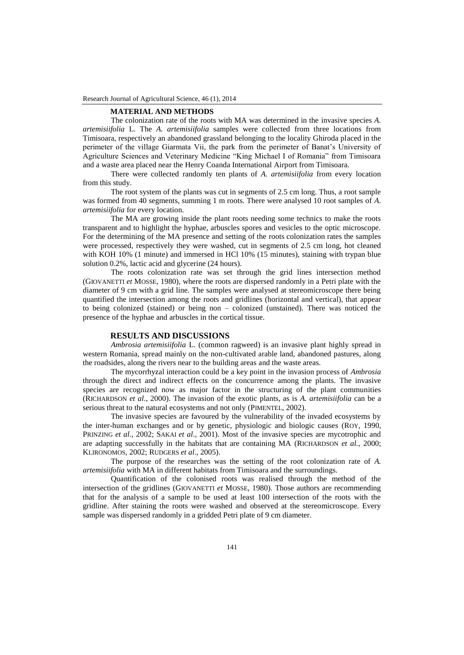### **MATERIAL AND METHODS**

The colonization rate of the roots with MA was determined in the invasive species *A. artemisiifolia* L. The *A. artemisiifolia* samples were collected from three locations from Timisoara, respectively an abandoned grassland belonging to the locality Ghiroda placed in the perimeter of the village Giarmata Vii, the park from the perimeter of Banat's University of Agriculture Sciences and Veterinary Medicine "King Michael I of Romania" from Timisoara and a waste area placed near the Henry Coanda International Airport from Timisoara.

There were collected randomly ten plants of *A. artemisiifolia* from every location from this study.

The root system of the plants was cut in segments of 2.5 cm long. Thus, a root sample was formed from 40 segments, summing 1 m roots. There were analysed 10 root samples of *A. artemisiifolia* for every location.

The MA are growing inside the plant roots needing some technics to make the roots transparent and to highlight the hyphae, arbuscles spores and vesicles to the optic microscope. For the determining of the MA presence and setting of the roots colonization rates the samples were processed, respectively they were washed, cut in segments of 2.5 cm long, hot cleaned with KOH 10% (1 minute) and immersed in HCl 10% (15 minutes), staining with trypan blue solution 0.2%, lactic acid and glycerine (24 hours).

The roots colonization rate was set through the grid lines intersection method (GIOVANETTI *et* MOSSE, 1980), where the roots are dispersed randomly in a Petri plate with the diameter of 9 cm with a grid line. The samples were analysed at stereomicroscope there being quantified the intersection among the roots and gridlines (horizontal and vertical), that appear to being colonized (stained) or being non – colonized (unstained). There was noticed the presence of the hyphae and arbuscles in the cortical tissue.

## **RESULTS AND DISCUSSIONS**

*Ambrosia artemisiifolia* L. (common ragweed) is an invasive plant highly spread in western Romania, spread mainly on the non-cultivated arable land, abandoned pastures, along the roadsides, along the rivers near to the building areas and the waste areas.

The mycorrhyzal interaction could be a key point in the invasion process of *Ambrosia* through the direct and indirect effects on the concurrence among the plants. The invasive species are recognized now as major factor in the structuring of the plant communities (RICHARDSON *et al*., 2000). The invasion of the exotic plants, as is *A. artemisiifolia* can be a serious threat to the natural ecosystems and not only (PIMENTEL, 2002).

The invasive species are favoured by the vulnerability of the invaded ecosystems by the inter-human exchanges and or by genetic, physiologic and biologic causes (ROY, 1990, PRINZING *et al*., 2002; SAKAI *et al*., 2001). Most of the invasive species are mycotrophic and are adapting successfully in the habitats that are containing MA (RICHARDSON *et al.*, 2000; KLIRONOMOS, 2002; RUDGERS *et al*., 2005).

The purpose of the researches was the setting of the root colonization rate of *A. artemisiifolia* with MA in different habitats from Timisoara and the surroundings.

Quantification of the colonised roots was realised through the method of the intersection of the gridlines (GIOVANETTI *et* MOSSE, 1980). Those authors are recommending that for the analysis of a sample to be used at least 100 intersection of the roots with the gridline. After staining the roots were washed and observed at the stereomicroscope. Every sample was dispersed randomly in a gridded Petri plate of 9 cm diameter.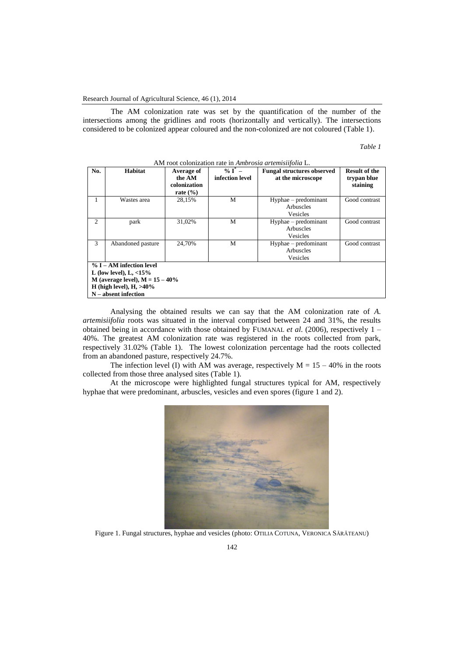The AM colonization rate was set by the quantification of the number of the intersections among the gridlines and roots (horizontally and vertically). The intersections considered to be colonized appear coloured and the non-colonized are not coloured (Table 1).

| ani. |  |
|------|--|
|      |  |

| No.                                                                                                                                                      | Habitat           | Average of<br>the AM<br>colonization<br>rate $(\% )$ | $\%$ T <sup>*</sup> –<br>infection level | <b>Fungal structures observed</b><br>at the microscope | <b>Result of the</b><br>trypan blue<br>staining |  |
|----------------------------------------------------------------------------------------------------------------------------------------------------------|-------------------|------------------------------------------------------|------------------------------------------|--------------------------------------------------------|-------------------------------------------------|--|
|                                                                                                                                                          | Wastes area       | 28,15%                                               | M                                        | Hyphae – predominant<br>Arbuscles<br>Vesicles          | Good contrast                                   |  |
| 2                                                                                                                                                        | park              | 31,02%                                               | M                                        | Hyphae - predominant<br>Arbuscles<br>Vesicles          | Good contrast                                   |  |
| 3                                                                                                                                                        | Abandoned pasture | 24,70%                                               | M                                        | Hyphae – predominant<br>Arbuscles<br>Vesicles          | Good contrast                                   |  |
| $% I - AM$ infection level<br>L (low level), $L, <15\%$<br>M (average level), $M = 15 - 40\%$<br>H (high level), $H$ , $>40\%$<br>$N -$ absent infection |                   |                                                      |                                          |                                                        |                                                 |  |

AM root colonization rate in *Ambrosia artemisiifolia* L.

Analysing the obtained results we can say that the AM colonization rate of *A. artemisiifolia* roots was situated in the interval comprised between 24 and 31%, the results obtained being in accordance with those obtained by FUMANAL *et al*. (2006), respectively 1 – 40%. The greatest AM colonization rate was registered in the roots collected from park, respectively 31.02% (Table 1). The lowest colonization percentage had the roots collected from an abandoned pasture, respectively 24.7%.

The infection level (I) with AM was average, respectively  $M = 15 - 40\%$  in the roots collected from those three analysed sites (Table 1).

At the microscope were highlighted fungal structures typical for AM, respectively hyphae that were predominant, arbuscles, vesicles and even spores (figure 1 and 2).



Figure 1. Fungal structures, hyphae and vesicles (photo: OTILIA COTUNA, VERONICA SĂRĂTEANU)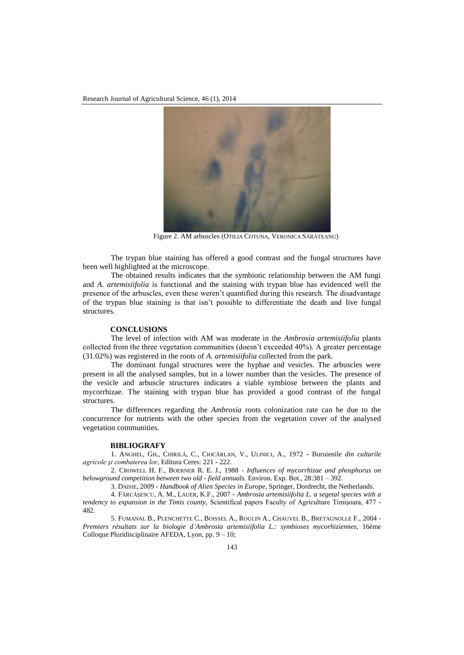

Figure 2. AM arbuscles (OTILIA COTUNA, VERONICA SĂRĂTEANU)

The trypan blue staining has offered a good contrast and the fungal structures have been well highlighted at the microscope.

The obtained results indicates that the symbiotic relationship between the AM fungi and *A. artemisiifolia* is functional and the staining with trypan blue has evidenced well the presence of the arbuscles, even these weren't quantified during this research. The disadvantage of the trypan blue staining is that isn't possible to differentiate the death and live fungal structures.

## **CONCLUSIONS**

The level of infection with AM was moderate in the *Ambrosia artemisiifolia* plants collected from the three vegetation communities (doesn't exceeded 40%). A greater percentage (31.02%) was registered in the roots of *A. artemisiifolia* collected from the park.

The dominant fungal structures were the hyphae and vesicles. The arbuscles were present in all the analysed samples, but in a lower number than the vesicles. The presence of the vesicle and arbuscle structures indicates a viable symbiose between the plants and mycorrhizae. The staining with trypan blue has provided a good contrast of the fungal structures.

The differences regarding the *Ambrosia* roots colonization rate can be due to the concurrence for nutrients with the other species from the vegetation cover of the analysed vegetation communities.

## **BIBLIOGRAFY**

1. ANGHEL, GH., CHIRILĂ, C., CIOCÂRLAN, V., ULINICI, A., 1972 - Buruienile *din culturile agricole şi combaterea lor*, Editura Ceres: 221 - 222.

2. CROWELL H. F., BOERNER R. E. J., 1988 - *Influences of mycorrhizae and phosphorus on belowground competition between two old - field annuals.* Environ. Exp. Bot., 28:381 – 392.

3. DAISIE, 2009 - *Handbook of Alien Species in Europe*, Springer, Dordrecht, the Netherlands.

4. FĂRCĂŞESCU, A. M., LAUER, K.F., 2007 - *Ambrosia artemisiifolia L. a segetal species with a tendency to expansion in the Timis county,* Scientifical papers Faculty of Agriculture Timişoara, 477 - 482.

5. FUMANAL B., PLENCHETTE C., BOISSEL A., ROULIN A., CHAUVEL B., BRETAGNOLLE F., 2004 - *Premiers résultats sur la biologie d'Ambrosia artemisiifolia L.: symbioses mycorhiziennes,* 16ème Colloque Pluridisciplinaire AFEDA, Lyon, pp. 9 – 10;